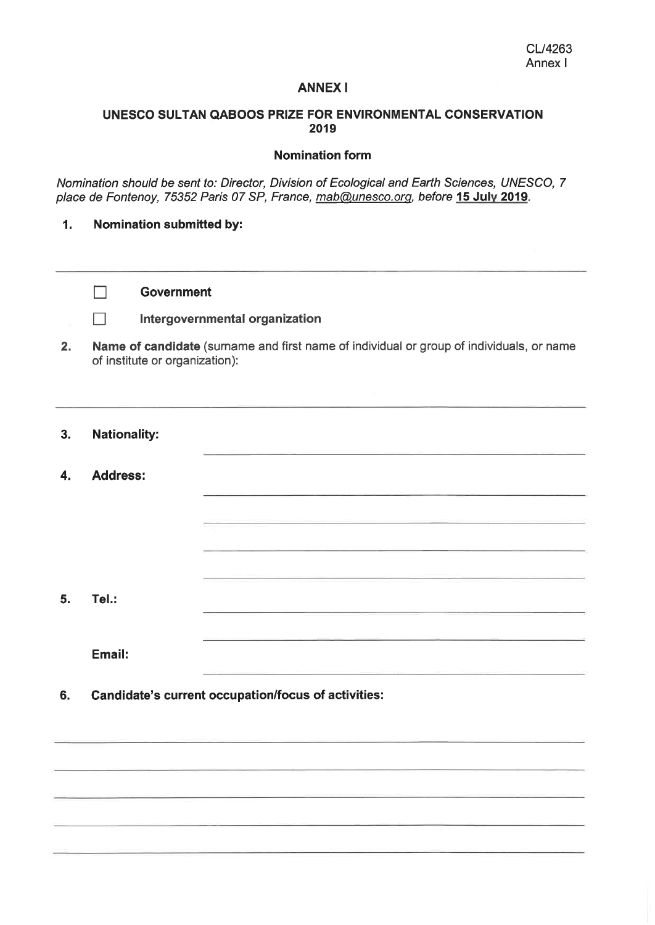### **ANNEXI**

# UNESCO SULTAN QABOOS PRIZE FOR ENVIRONMENTAL CONSERVATION 2019

#### Nomination form

Nomination should be sent to: Director, Division of Ecological and Earth Sciences, UNESCO, 7 place de Fontenoy, 75352 Paris 07 SP, France, mab@unesco.org, before 15 July 2019.

### 1. Nomination submitted by:

| <b>Government</b> |  |
|-------------------|--|
|-------------------|--|

# Intergovernmental organization

- 2. Name of candidate (surname and first name of individual or group of individuals, or name of institute or organization):
- 3. Nationality:

 $\Box$ 

 $\Box$ 

4. Address:

5. Tél.:

Email:

6. Candidate's current occupation/focus of activities: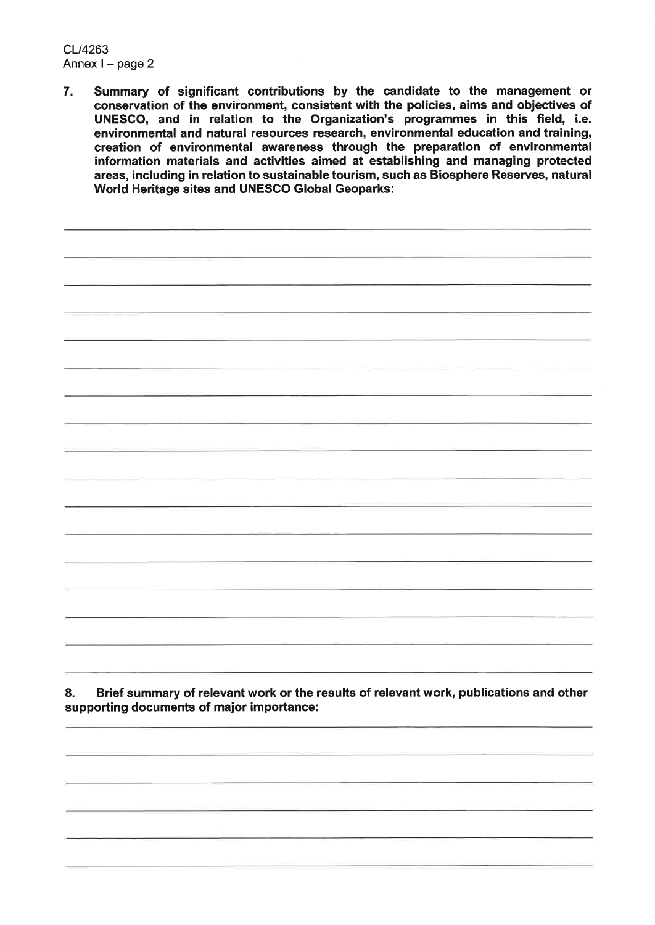CL/4263 Annex  $l$  – page 2

7. Summary of significant contributions by thé candidate to thé management or conservation of thé environment, consistent with thé policies, aims and objectives of UNESCO, and in relation to thé Organization's programmes in this field, i.e. environmental and natural resources research, environmental éducation and training, creation of environmental awareness through the preparation of environmental information materials and activities aimed at establishing and managing protected areas, including in relation to sustainable tourism, such as Biosphere Reserves, natural World Heritage sites and UNESCO Global Geoparks:

8. Brief summary of relevant work or the results of relevant work, publications and other supporting documents of major importance: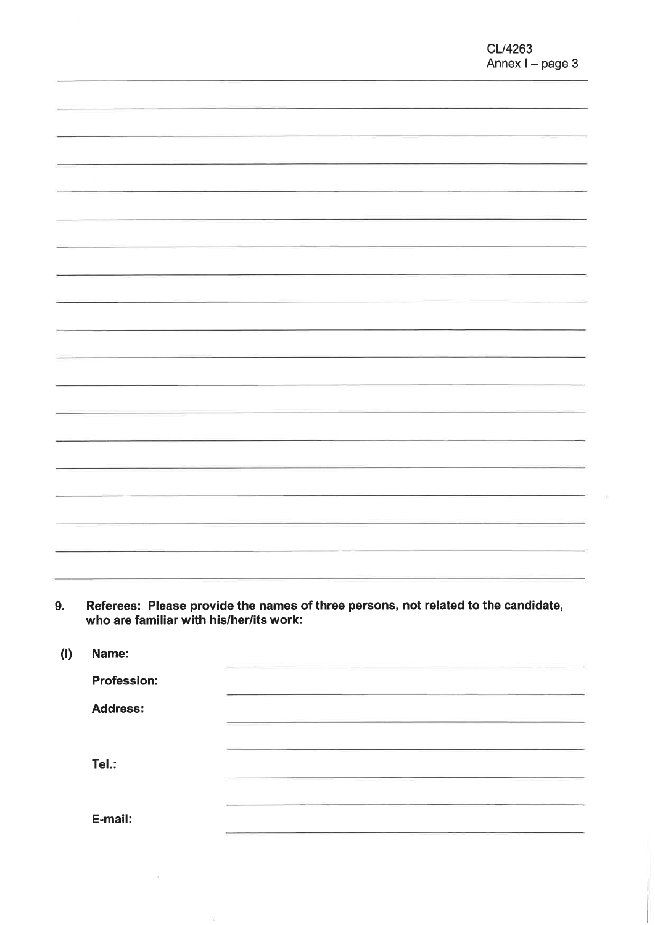9. Referees: Please provide the names of three persons, not related to the candidate who are familiar with his/her/its work:

| (i) | Name:              |  |
|-----|--------------------|--|
|     | <b>Profession:</b> |  |
|     | <b>Address:</b>    |  |
|     | Tel.:              |  |
|     | E-mail:            |  |

 $\tilde{\mathbf{x}}$